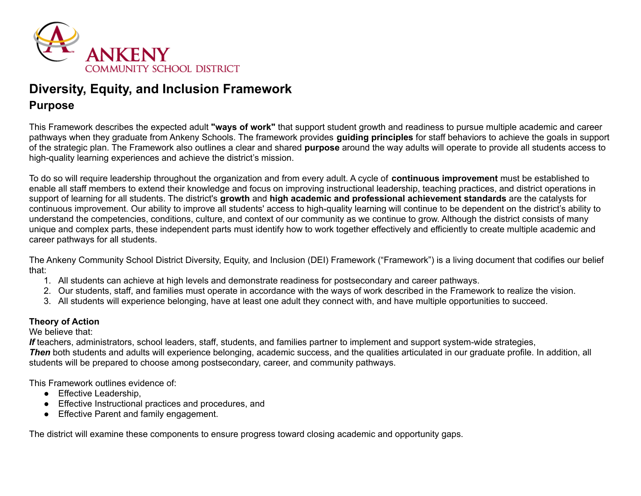

## **Diversity, Equity, and Inclusion Framework Purpose**

This Framework describes the expected adult **"ways of work"** that support student growth and readiness to pursue multiple academic and career pathways when they graduate from Ankeny Schools. The framework provides **guiding principles** for staff behaviors to achieve the goals in support of the strategic plan. The Framework also outlines a clear and shared **purpose** around the way adults will operate to provide all students access to high-quality learning experiences and achieve the district's mission.

To do so will require leadership throughout the organization and from every adult. A cycle of **continuous improvement** must be established to enable all staff members to extend their knowledge and focus on improving instructional leadership, teaching practices, and district operations in support of learning for all students. The district's **growth** and **high academic and professional achievement standards** are the catalysts for continuous improvement. Our ability to improve all students' access to high-quality learning will continue to be dependent on the district's ability to understand the competencies, conditions, culture, and context of our community as we continue to grow. Although the district consists of many unique and complex parts, these independent parts must identify how to work together effectively and efficiently to create multiple academic and career pathways for all students.

The Ankeny Community School District Diversity, Equity, and Inclusion (DEI) Framework ("Framework") is a living document that codifies our belief that:

- 1. All students can achieve at high levels and demonstrate readiness for postsecondary and career pathways.
- 2. Our students, staff, and families must operate in accordance with the ways of work described in the Framework to realize the vision.
- 3. All students will experience belonging, have at least one adult they connect with, and have multiple opportunities to succeed.

## **Theory of Action**

We believe that:

*If* teachers, administrators, school leaders, staff, students, and families partner to implement and support system-wide strategies, **Then** both students and adults will experience belonging, academic success, and the qualities articulated in our graduate profile. In addition, all students will be prepared to choose among postsecondary, career, and community pathways.

This Framework outlines evidence of:

- Effective Leadership,
- Effective Instructional practices and procedures, and
- Effective Parent and family engagement.

The district will examine these components to ensure progress toward closing academic and opportunity gaps.